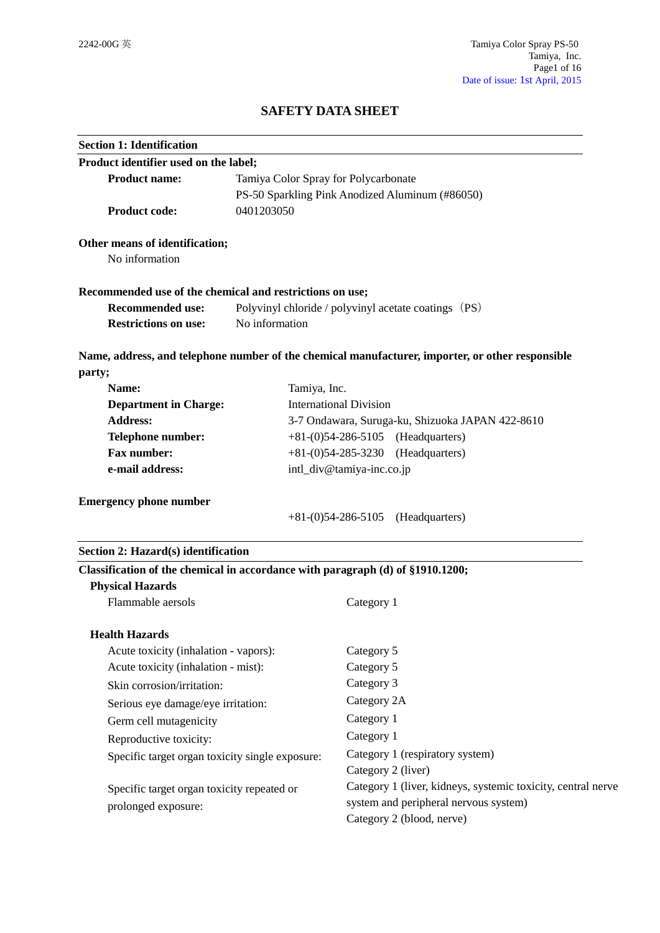# **SAFETY DATA SHEET**

| <b>Section 1: Identification</b>                                                                          |                                                      |                                                                                                  |
|-----------------------------------------------------------------------------------------------------------|------------------------------------------------------|--------------------------------------------------------------------------------------------------|
| Product identifier used on the label;                                                                     |                                                      |                                                                                                  |
| <b>Product name:</b>                                                                                      | Tamiya Color Spray for Polycarbonate                 |                                                                                                  |
|                                                                                                           | PS-50 Sparkling Pink Anodized Aluminum (#86050)      |                                                                                                  |
| <b>Product code:</b>                                                                                      | 0401203050                                           |                                                                                                  |
| Other means of identification;                                                                            |                                                      |                                                                                                  |
| No information                                                                                            |                                                      |                                                                                                  |
| Recommended use of the chemical and restrictions on use;                                                  |                                                      |                                                                                                  |
| <b>Recommended use:</b>                                                                                   | Polyvinyl chloride / polyvinyl acetate coatings (PS) |                                                                                                  |
| <b>Restrictions on use:</b>                                                                               | No information                                       |                                                                                                  |
| party;                                                                                                    |                                                      | Name, address, and telephone number of the chemical manufacturer, importer, or other responsible |
| Name:                                                                                                     | Tamiya, Inc.                                         |                                                                                                  |
| <b>Department in Charge:</b>                                                                              |                                                      | <b>International Division</b>                                                                    |
| <b>Address:</b>                                                                                           | 3-7 Ondawara, Suruga-ku, Shizuoka JAPAN 422-8610     |                                                                                                  |
| <b>Telephone number:</b>                                                                                  | (Headquarters)<br>$+81-(0)54-286-5105$               |                                                                                                  |
| Fax number:                                                                                               | $+81-(0)54-285-3230$ (Headquarters)                  |                                                                                                  |
| e-mail address:                                                                                           | intl_div@tamiya-inc.co.jp                            |                                                                                                  |
| <b>Emergency phone number</b>                                                                             |                                                      | (Headquarters)<br>$+81-(0)54-286-5105$                                                           |
| Section 2: Hazard(s) identification                                                                       |                                                      |                                                                                                  |
| Classification of the chemical in accordance with paragraph (d) of §1910.1200;<br><b>Physical Hazards</b> |                                                      |                                                                                                  |
| Flammable aersols                                                                                         |                                                      | Category 1                                                                                       |
| <b>Health Hazards</b>                                                                                     |                                                      |                                                                                                  |
| Acute toxicity (inhalation - vapors):                                                                     |                                                      | Category 5                                                                                       |
| Acute toxicity (inhalation - mist):                                                                       |                                                      | Category 5                                                                                       |
| Skin corrosion/irritation:                                                                                |                                                      | Category 3                                                                                       |
| Serious eye damage/eye irritation:                                                                        |                                                      | Category 2A                                                                                      |
| Germ cell mutagenicity                                                                                    |                                                      | Category 1                                                                                       |
| Reproductive toxicity:                                                                                    |                                                      | Category 1                                                                                       |
| Specific target organ toxicity single exposure:                                                           |                                                      | Category 1 (respiratory system)                                                                  |
|                                                                                                           |                                                      | Category 2 (liver)                                                                               |
| Specific target organ toxicity repeated or                                                                |                                                      | Category 1 (liver, kidneys, systemic toxicity, central nerve                                     |
| prolonged exposure:                                                                                       |                                                      | system and peripheral nervous system)                                                            |
|                                                                                                           |                                                      | Category 2 (blood, nerve)                                                                        |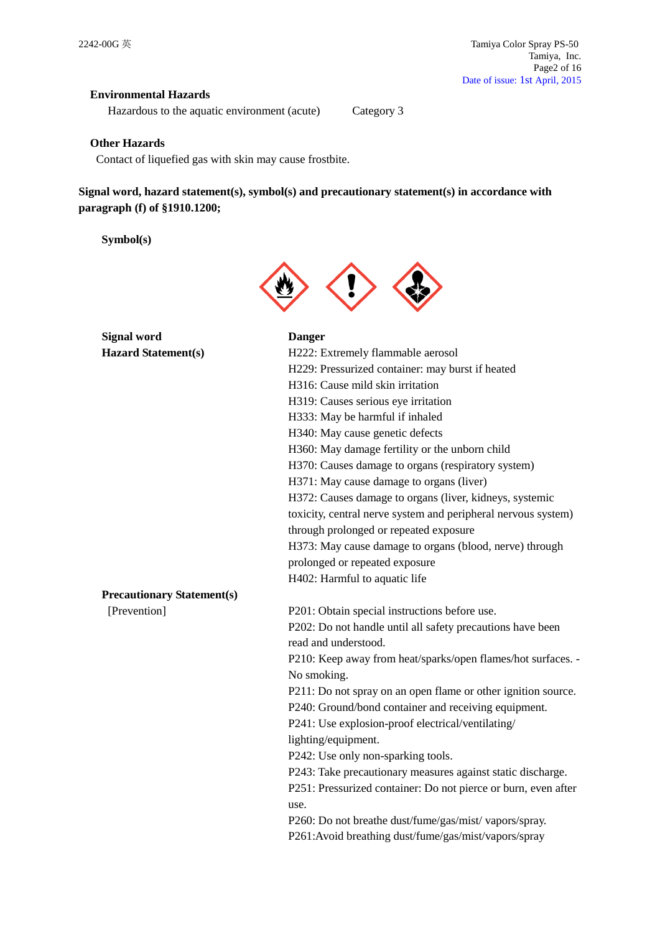## **Environmental Hazards**

Hazardous to the aquatic environment (acute) Category 3

## **Other Hazards**

Contact of liquefied gas with skin may cause frostbite.

**Signal word, hazard statement(s), symbol(s) and precautionary statement(s) in accordance with paragraph (f) of §1910.1200;**

**Symbol(s)**



| <b>Signal word</b>                | <b>Danger</b>                                                  |
|-----------------------------------|----------------------------------------------------------------|
| <b>Hazard Statement(s)</b>        | H222: Extremely flammable aerosol                              |
|                                   | H229: Pressurized container: may burst if heated               |
|                                   | H316: Cause mild skin irritation                               |
|                                   | H319: Causes serious eye irritation                            |
|                                   | H333: May be harmful if inhaled                                |
|                                   | H340: May cause genetic defects                                |
|                                   | H360: May damage fertility or the unborn child                 |
|                                   | H370: Causes damage to organs (respiratory system)             |
|                                   | H371: May cause damage to organs (liver)                       |
|                                   | H372: Causes damage to organs (liver, kidneys, systemic        |
|                                   | toxicity, central nerve system and peripheral nervous system)  |
|                                   | through prolonged or repeated exposure                         |
|                                   | H373: May cause damage to organs (blood, nerve) through        |
|                                   | prolonged or repeated exposure                                 |
|                                   | H402: Harmful to aquatic life                                  |
| <b>Precautionary Statement(s)</b> |                                                                |
| [Prevention]                      | P201: Obtain special instructions before use.                  |
|                                   | P202: Do not handle until all safety precautions have been     |
|                                   | read and understood.                                           |
|                                   | P210: Keep away from heat/sparks/open flames/hot surfaces. -   |
|                                   | No smoking.                                                    |
|                                   | P211: Do not spray on an open flame or other ignition source.  |
|                                   | P240: Ground/bond container and receiving equipment.           |
|                                   | P241: Use explosion-proof electrical/ventilating/              |
|                                   | lighting/equipment.                                            |
|                                   | P242: Use only non-sparking tools.                             |
|                                   | P243: Take precautionary measures against static discharge.    |
|                                   | P251: Pressurized container: Do not pierce or burn, even after |
|                                   | use.                                                           |
|                                   | P260: Do not breathe dust/fume/gas/mist/vapors/spray.          |
|                                   | P261:Avoid breathing dust/fume/gas/mist/vapors/spray           |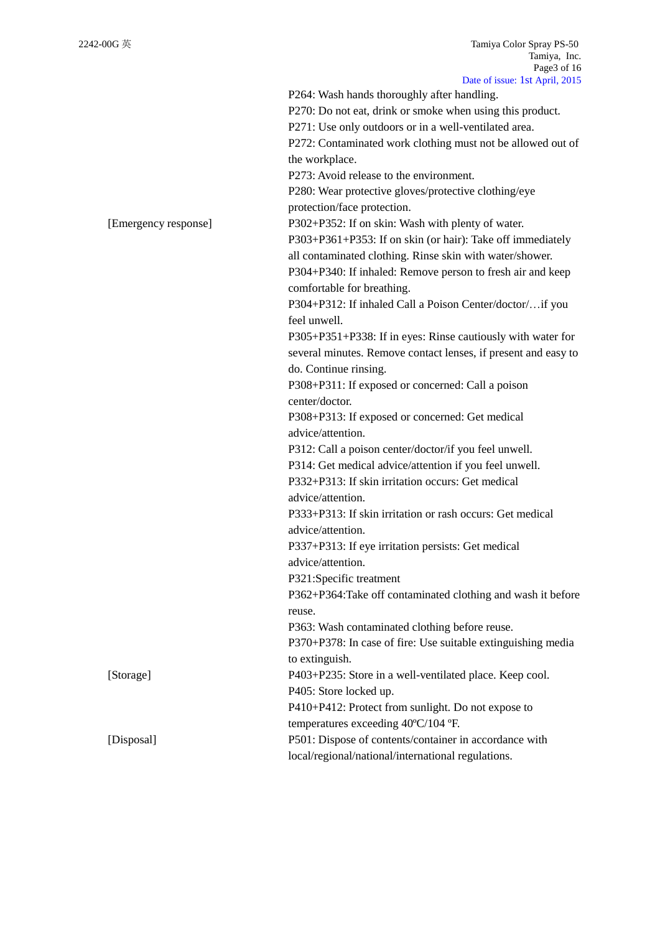|                      | P264: Wash hands thoroughly after handling.                          |
|----------------------|----------------------------------------------------------------------|
|                      | P270: Do not eat, drink or smoke when using this product.            |
|                      | P271: Use only outdoors or in a well-ventilated area.                |
|                      | P272: Contaminated work clothing must not be allowed out of          |
|                      | the workplace.                                                       |
|                      | P273: Avoid release to the environment.                              |
|                      | P280: Wear protective gloves/protective clothing/eye                 |
|                      | protection/face protection.                                          |
| [Emergency response] | P302+P352: If on skin: Wash with plenty of water.                    |
|                      | P303+P361+P353: If on skin (or hair): Take off immediately           |
|                      | all contaminated clothing. Rinse skin with water/shower.             |
|                      | P304+P340: If inhaled: Remove person to fresh air and keep           |
|                      | comfortable for breathing.                                           |
|                      | P304+P312: If inhaled Call a Poison Center/doctor/if you             |
|                      | feel unwell.                                                         |
|                      | P305+P351+P338: If in eyes: Rinse cautiously with water for          |
|                      | several minutes. Remove contact lenses, if present and easy to       |
|                      | do. Continue rinsing.                                                |
|                      | P308+P311: If exposed or concerned: Call a poison                    |
|                      | center/doctor.                                                       |
|                      |                                                                      |
|                      | P308+P313: If exposed or concerned: Get medical<br>advice/attention. |
|                      |                                                                      |
|                      | P312: Call a poison center/doctor/if you feel unwell.                |
|                      | P314: Get medical advice/attention if you feel unwell.               |
|                      | P332+P313: If skin irritation occurs: Get medical                    |
|                      | advice/attention.                                                    |
|                      | P333+P313: If skin irritation or rash occurs: Get medical            |
|                      | advice/attention.                                                    |
|                      | P337+P313: If eye irritation persists: Get medical                   |
|                      | advice/attention.                                                    |
|                      | P321:Specific treatment                                              |
|                      | P362+P364: Take off contaminated clothing and wash it before         |
|                      | reuse.                                                               |
|                      | P363: Wash contaminated clothing before reuse.                       |
|                      | P370+P378: In case of fire: Use suitable extinguishing media         |
|                      | to extinguish.                                                       |
| [Storage]            | P403+P235: Store in a well-ventilated place. Keep cool.              |
|                      | P405: Store locked up.                                               |
|                      | P410+P412: Protect from sunlight. Do not expose to                   |
|                      | temperatures exceeding 40°C/104 °F.                                  |
| [Disposal]           | P501: Dispose of contents/container in accordance with               |
|                      | local/regional/national/international regulations.                   |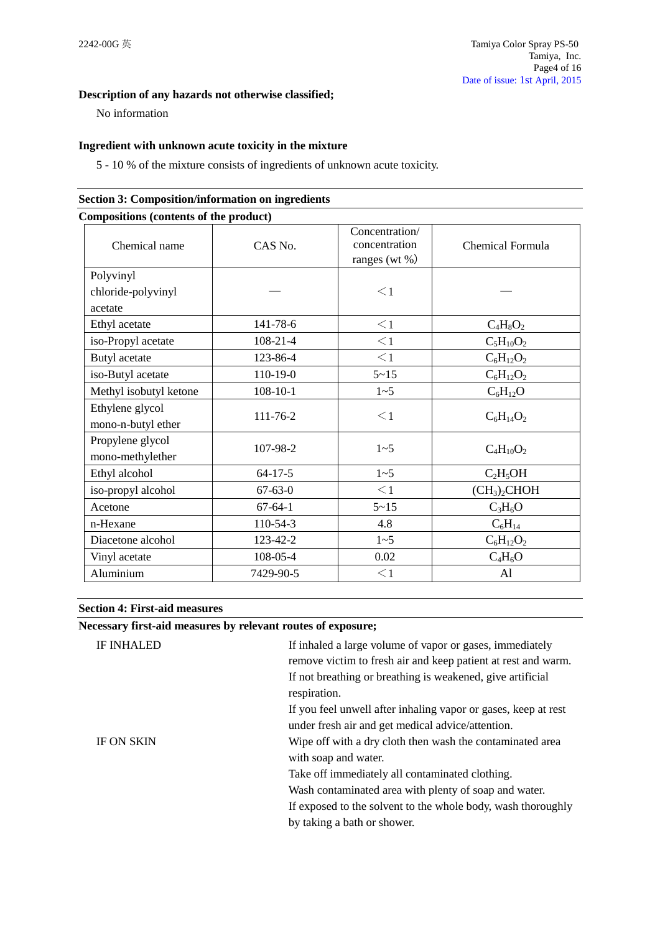# **Description of any hazards not otherwise classified;**

No information

## **Ingredient with unknown acute toxicity in the mixture**

5 - 10 % of the mixture consists of ingredients of unknown acute toxicity.

| Compositions (contents of the product) |                |                                                      |                                      |
|----------------------------------------|----------------|------------------------------------------------------|--------------------------------------|
| Chemical name                          | CAS No.        | Concentration/<br>concentration<br>ranges (wt $\%$ ) | Chemical Formula                     |
| Polyvinyl                              |                |                                                      |                                      |
| chloride-polyvinyl<br>acetate          |                | $\leq$ 1                                             |                                      |
|                                        |                |                                                      |                                      |
| Ethyl acetate                          | 141-78-6       | $\leq$ 1                                             | $C_4H_8O_2$                          |
| iso-Propyl acetate                     | $108 - 21 - 4$ | $\leq$ 1                                             | $C_5H_{10}O_2$                       |
| Butyl acetate                          | 123-86-4       | $\leq$ 1                                             | $C_6H_{12}O_2$                       |
| iso-Butyl acetate                      | 110-19-0       | $5 - 15$                                             | $C_6H_{12}O_2$                       |
| Methyl isobutyl ketone                 | $108 - 10 - 1$ | 1~5                                                  | $C_6H_{12}O$                         |
| Ethylene glycol<br>mono-n-butyl ether  | 111-76-2       | $\leq$ 1                                             | $C_6H_{14}O_2$                       |
| Propylene glycol<br>mono-methylether   | 107-98-2       | $1 - 5$                                              | $C_4H_{10}O_2$                       |
| Ethyl alcohol                          | $64 - 17 - 5$  | $1 - 5$                                              | $C_2H_5OH$                           |
| iso-propyl alcohol                     | $67 - 63 - 0$  | $\leq$ 1                                             | (CH <sub>3</sub> ) <sub>2</sub> CHOH |
| Acetone                                | $67 - 64 - 1$  | $5 - 15$                                             | $C_3H_6O$                            |
| n-Hexane                               | 110-54-3       | 4.8                                                  | $C_6H_{14}$                          |
| Diacetone alcohol                      | 123-42-2       | 1~5                                                  | $C_6H_{12}O_2$                       |
| Vinyl acetate                          | 108-05-4       | 0.02                                                 | $C_4H_6O$                            |
| Aluminium                              | 7429-90-5      | $\leq$ 1                                             | Al                                   |

# **Section 3: Composition/information on ingredients**

### **Section 4: First-aid measures**

## **Necessary first-aid measures by relevant routes of exposure;**

| <b>IF INHALED</b> | If inhaled a large volume of vapor or gases, immediately<br>remove victim to fresh air and keep patient at rest and warm.<br>If not breathing or breathing is weakened, give artificial<br>respiration.<br>If you feel unwell after inhaling vapor or gases, keep at rest |
|-------------------|---------------------------------------------------------------------------------------------------------------------------------------------------------------------------------------------------------------------------------------------------------------------------|
|                   | under fresh air and get medical advice/attention.                                                                                                                                                                                                                         |
| <b>IF ON SKIN</b> | Wipe off with a dry cloth then wash the contaminated area                                                                                                                                                                                                                 |
|                   | with soap and water.                                                                                                                                                                                                                                                      |
|                   | Take off immediately all contaminated clothing.                                                                                                                                                                                                                           |
|                   | Wash contaminated area with plenty of soap and water.                                                                                                                                                                                                                     |
|                   | If exposed to the solvent to the whole body, wash thoroughly                                                                                                                                                                                                              |
|                   | by taking a bath or shower.                                                                                                                                                                                                                                               |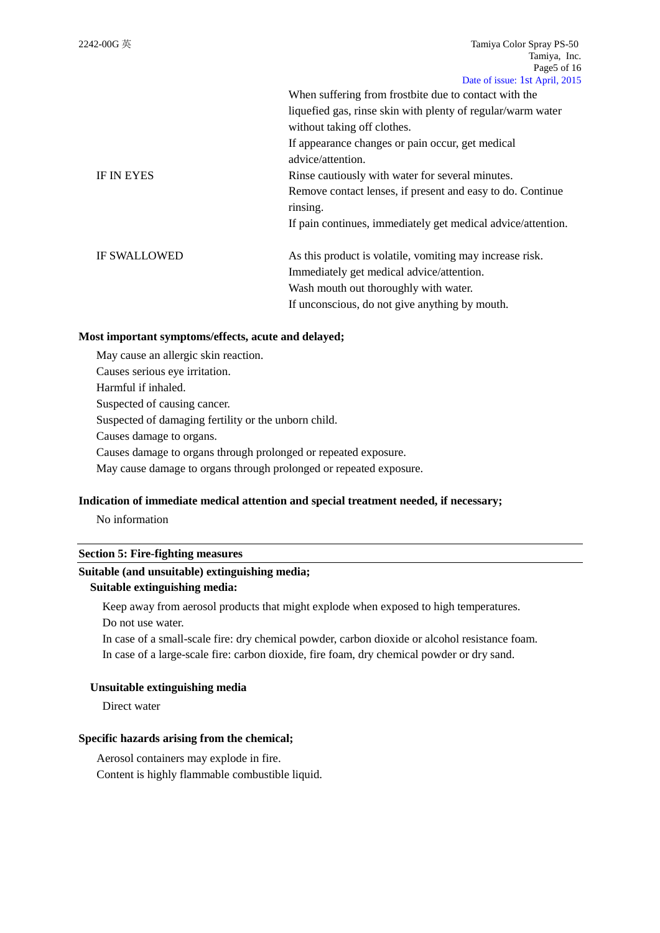|                     | When suffering from frostbite due to contact with the        |
|---------------------|--------------------------------------------------------------|
|                     | liquefied gas, rinse skin with plenty of regular/warm water  |
|                     | without taking off clothes.                                  |
|                     | If appearance changes or pain occur, get medical             |
|                     | advice/attention.                                            |
| <b>IF IN EYES</b>   | Rinse cautiously with water for several minutes.             |
|                     | Remove contact lenses, if present and easy to do. Continue   |
|                     | rinsing.                                                     |
|                     | If pain continues, immediately get medical advice/attention. |
| <b>IF SWALLOWED</b> | As this product is volatile, vomiting may increase risk.     |
|                     | Immediately get medical advice/attention.                    |
|                     | Wash mouth out thoroughly with water.                        |
|                     | If unconscious, do not give anything by mouth.               |

#### **Most important symptoms/effects, acute and delayed;**

May cause an allergic skin reaction. Causes serious eye irritation. Harmful if inhaled. Suspected of causing cancer. Suspected of damaging fertility or the unborn child. Causes damage to organs. Causes damage to organs through prolonged or repeated exposure. May cause damage to organs through prolonged or repeated exposure.

#### **Indication of immediate medical attention and special treatment needed, if necessary;**

No information

#### **Section 5: Fire-fighting measures**

#### **Suitable (and unsuitable) extinguishing media;**

#### **Suitable extinguishing media:**

Keep away from aerosol products that might explode when exposed to high temperatures. Do not use water.

In case of a small-scale fire: dry chemical powder, carbon dioxide or alcohol resistance foam. In case of a large-scale fire: carbon dioxide, fire foam, dry chemical powder or dry sand.

### **Unsuitable extinguishing media**

Direct water

## **Specific hazards arising from the chemical;**

Aerosol containers may explode in fire.

Content is highly flammable combustible liquid.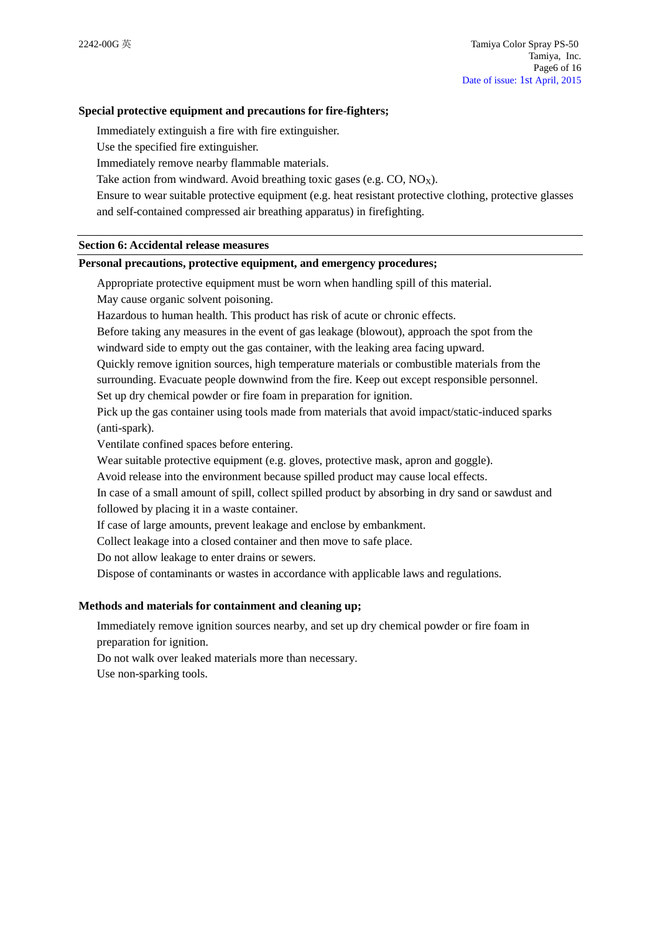### **Special protective equipment and precautions for fire-fighters;**

Immediately extinguish a fire with fire extinguisher.

Use the specified fire extinguisher.

Immediately remove nearby flammable materials.

Take action from windward. Avoid breathing toxic gases (e.g.  $CO$ ,  $NO<sub>x</sub>$ ).

Ensure to wear suitable protective equipment (e.g. heat resistant protective clothing, protective glasses and self-contained compressed air breathing apparatus) in firefighting.

#### **Section 6: Accidental release measures**

#### **Personal precautions, protective equipment, and emergency procedures;**

Appropriate protective equipment must be worn when handling spill of this material.

May cause organic solvent poisoning.

Hazardous to human health. This product has risk of acute or chronic effects.

Before taking any measures in the event of gas leakage (blowout), approach the spot from the windward side to empty out the gas container, with the leaking area facing upward.

Quickly remove ignition sources, high temperature materials or combustible materials from the surrounding. Evacuate people downwind from the fire. Keep out except responsible personnel. Set up dry chemical powder or fire foam in preparation for ignition.

Pick up the gas container using tools made from materials that avoid impact/static-induced sparks (anti-spark).

Ventilate confined spaces before entering.

Wear suitable protective equipment (e.g. gloves, protective mask, apron and goggle).

Avoid release into the environment because spilled product may cause local effects.

In case of a small amount of spill, collect spilled product by absorbing in dry sand or sawdust and followed by placing it in a waste container.

If case of large amounts, prevent leakage and enclose by embankment.

Collect leakage into a closed container and then move to safe place.

Do not allow leakage to enter drains or sewers.

Dispose of contaminants or wastes in accordance with applicable laws and regulations.

#### **Methods and materials for containment and cleaning up;**

Immediately remove ignition sources nearby, and set up dry chemical powder or fire foam in preparation for ignition.

Do not walk over leaked materials more than necessary.

Use non-sparking tools.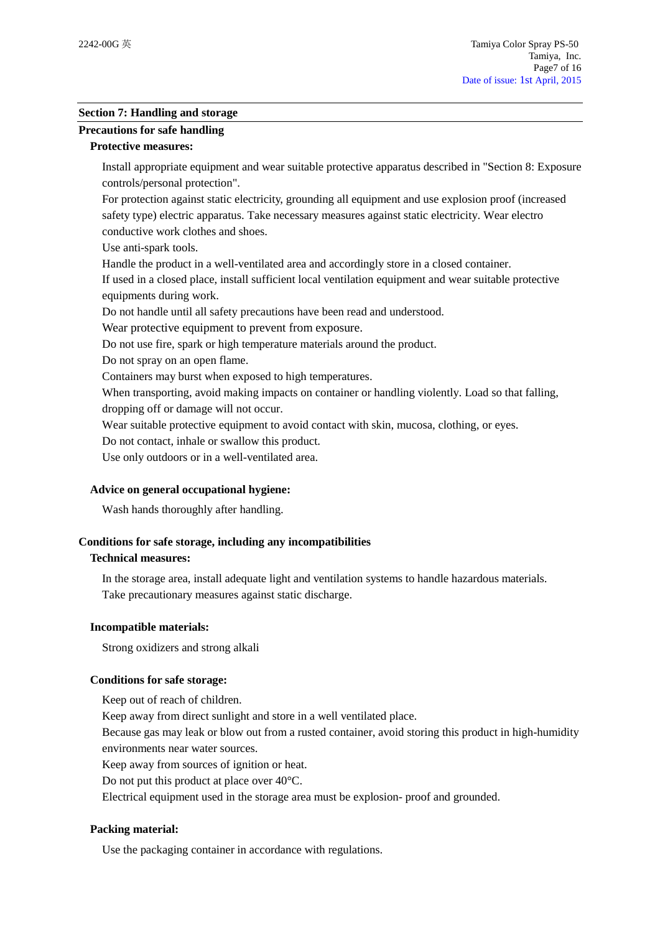### **Section 7: Handling and storage**

# **Precautions for safe handling**

### **Protective measures:**

Install appropriate equipment and wear suitable protective apparatus described in "Section 8: Exposure controls/personal protection".

For protection against static electricity, grounding all equipment and use explosion proof (increased safety type) electric apparatus. Take necessary measures against static electricity. Wear electro conductive work clothes and shoes.

Use anti-spark tools.

Handle the product in a well-ventilated area and accordingly store in a closed container.

If used in a closed place, install sufficient local ventilation equipment and wear suitable protective equipments during work.

Do not handle until all safety precautions have been read and understood.

Wear protective equipment to prevent from exposure.

Do not use fire, spark or high temperature materials around the product.

Do not spray on an open flame.

Containers may burst when exposed to high temperatures.

When transporting, avoid making impacts on container or handling violently. Load so that falling,

dropping off or damage will not occur.

Wear suitable protective equipment to avoid contact with skin, mucosa, clothing, or eyes.

Do not contact, inhale or swallow this product.

Use only outdoors or in a well-ventilated area.

## **Advice on general occupational hygiene:**

Wash hands thoroughly after handling.

## **Conditions for safe storage, including any incompatibilities**

## **Technical measures:**

In the storage area, install adequate light and ventilation systems to handle hazardous materials. Take precautionary measures against static discharge.

## **Incompatible materials:**

Strong oxidizers and strong alkali

## **Conditions for safe storage:**

Keep out of reach of children.

Keep away from direct sunlight and store in a well ventilated place.

Because gas may leak or blow out from a rusted container, avoid storing this product in high-humidity environments near water sources.

Keep away from sources of ignition or heat.

Do not put this product at place over 40°C.

Electrical equipment used in the storage area must be explosion- proof and grounded.

## **Packing material:**

Use the packaging container in accordance with regulations.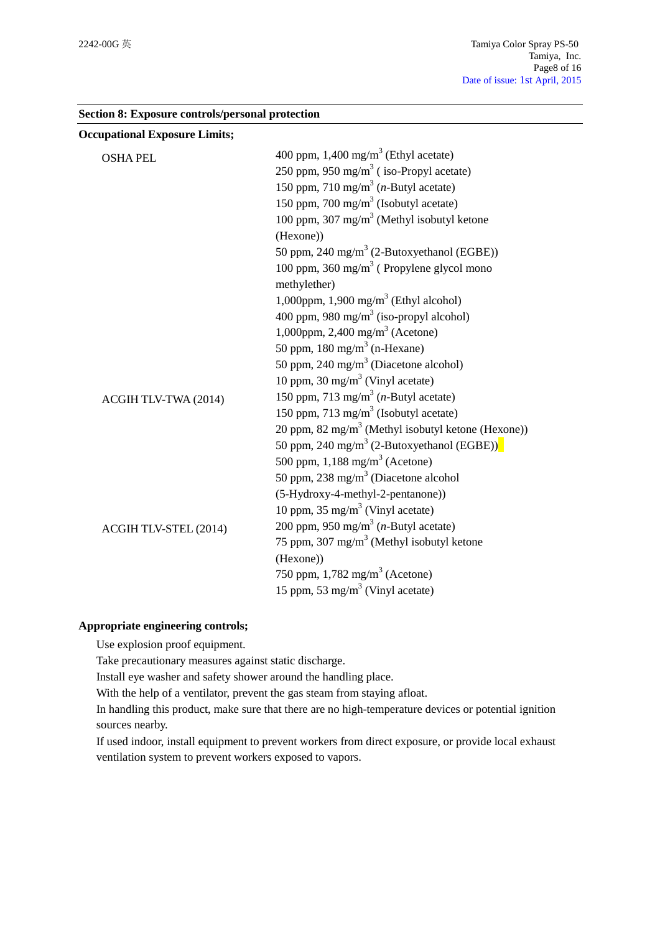| <b>Occupational Exposure Limits;</b> |                                                                |
|--------------------------------------|----------------------------------------------------------------|
| <b>OSHA PEL</b>                      | 400 ppm, $1,400 \text{ mg/m}^3$ (Ethyl acetate)                |
|                                      | 250 ppm, 950 mg/m <sup>3</sup> (iso-Propyl acetate)            |
|                                      | 150 ppm, 710 mg/m <sup>3</sup> ( <i>n</i> -Butyl acetate)      |
|                                      | 150 ppm, 700 mg/m <sup>3</sup> (Isobutyl acetate)              |
|                                      | 100 ppm, 307 mg/m <sup>3</sup> (Methyl isobutyl ketone         |
|                                      | (Hexone))                                                      |
|                                      | 50 ppm, 240 mg/m <sup>3</sup> (2-Butoxyethanol (EGBE))         |
|                                      | 100 ppm, 360 mg/m <sup>3</sup> (Propylene glycol mono          |
|                                      | methylether)                                                   |
|                                      | 1,000ppm, 1,900 mg/m <sup>3</sup> (Ethyl alcohol)              |
|                                      | 400 ppm, 980 mg/m <sup>3</sup> (iso-propyl alcohol)            |
|                                      | 1,000ppm, 2,400 mg/m <sup>3</sup> (Acetone)                    |
|                                      | 50 ppm, $180 \text{ mg/m}^3$ (n-Hexane)                        |
|                                      | 50 ppm, 240 mg/m <sup>3</sup> (Diacetone alcohol)              |
|                                      | 10 ppm, 30 mg/m <sup>3</sup> (Vinyl acetate)                   |
| ACGIH TLV-TWA (2014)                 | 150 ppm, 713 mg/m <sup>3</sup> ( <i>n</i> -Butyl acetate)      |
|                                      | 150 ppm, 713 mg/m <sup>3</sup> (Isobutyl acetate)              |
|                                      | 20 ppm, 82 mg/m <sup>3</sup> (Methyl isobutyl ketone (Hexone)) |
|                                      | 50 ppm, 240 mg/m <sup>3</sup> (2-Butoxyethanol (EGBE))         |
|                                      | 500 ppm, $1,188$ mg/m <sup>3</sup> (Acetone)                   |
|                                      | 50 ppm, 238 mg/m <sup>3</sup> (Diacetone alcohol               |
|                                      | (5-Hydroxy-4-methyl-2-pentanone))                              |
|                                      | 10 ppm, $35 \text{ mg/m}^3$ (Vinyl acetate)                    |
| ACGIH TLV-STEL (2014)                | 200 ppm, 950 mg/m <sup>3</sup> ( <i>n</i> -Butyl acetate)      |
|                                      | 75 ppm, 307 mg/m <sup>3</sup> (Methyl isobutyl ketone          |
|                                      | (Hexone))                                                      |
|                                      | 750 ppm, $1,782$ mg/m <sup>3</sup> (Acetone)                   |
|                                      | 15 ppm, 53 mg/m <sup>3</sup> (Vinyl acetate)                   |

## **Section 8: Exposure controls/personal protection**

## **Appropriate engineering controls;**

Use explosion proof equipment.

Take precautionary measures against static discharge.

Install eye washer and safety shower around the handling place.

With the help of a ventilator, prevent the gas steam from staying afloat.

In handling this product, make sure that there are no high-temperature devices or potential ignition sources nearby.

If used indoor, install equipment to prevent workers from direct exposure, or provide local exhaust ventilation system to prevent workers exposed to vapors.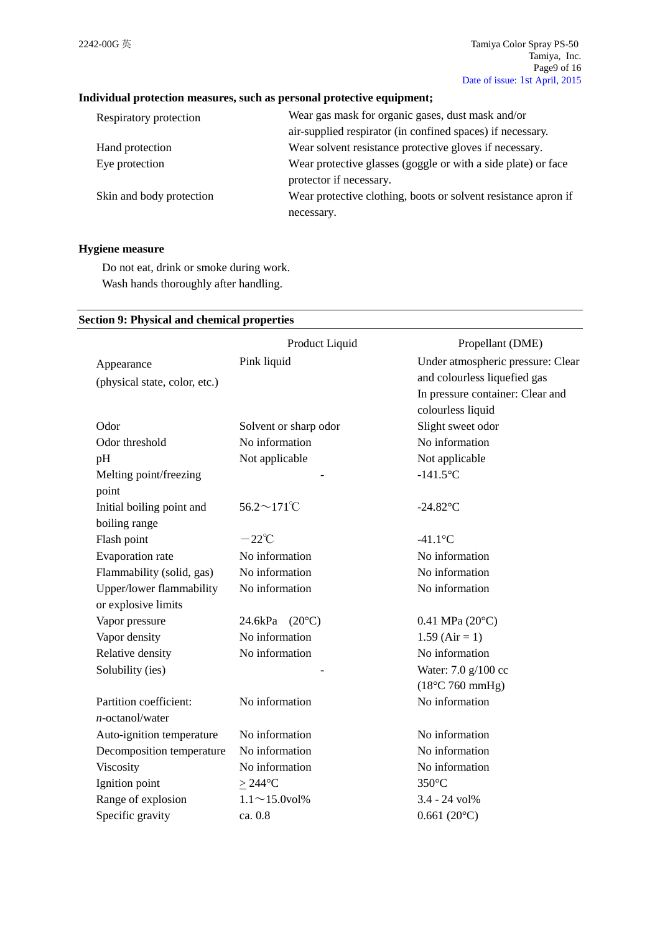# **Individual protection measures, such as personal protective equipment;**

| Respiratory protection   | Wear gas mask for organic gases, dust mask and/or              |
|--------------------------|----------------------------------------------------------------|
|                          | air-supplied respirator (in confined spaces) if necessary.     |
| Hand protection          | Wear solvent resistance protective gloves if necessary.        |
| Eye protection           | Wear protective glasses (goggle or with a side plate) or face  |
|                          | protector if necessary.                                        |
| Skin and body protection | Wear protective clothing, boots or solvent resistance apron if |
|                          | necessary.                                                     |

## **Hygiene measure**

Do not eat, drink or smoke during work. Wash hands thoroughly after handling.

## **Section 9: Physical and chemical properties**

|                               | Product Liquid             | Propellant (DME)                  |
|-------------------------------|----------------------------|-----------------------------------|
| Appearance                    | Pink liquid                | Under atmospheric pressure: Clear |
| (physical state, color, etc.) |                            | and colourless liquefied gas      |
|                               |                            | In pressure container: Clear and  |
|                               |                            | colourless liquid                 |
| Odor                          | Solvent or sharp odor      | Slight sweet odor                 |
| Odor threshold                | No information             | No information                    |
| pH                            | Not applicable             | Not applicable                    |
| Melting point/freezing        |                            | $-141.5$ °C                       |
| point                         |                            |                                   |
| Initial boiling point and     | $56.2 \sim 171$ °C         | $-24.82$ °C                       |
| boiling range                 |                            |                                   |
| Flash point                   | $-22^{\circ}C$             | $-41.1$ °C                        |
| Evaporation rate              | No information             | No information                    |
| Flammability (solid, gas)     | No information             | No information                    |
| Upper/lower flammability      | No information             | No information                    |
| or explosive limits           |                            |                                   |
| Vapor pressure                | $24.6$ kPa $(20^{\circ}C)$ | $0.41$ MPa $(20^{\circ}C)$        |
| Vapor density                 | No information             | $1.59$ (Air = 1)                  |
| Relative density              | No information             | No information                    |
| Solubility (ies)              |                            | Water: 7.0 g/100 cc               |
|                               |                            | $(18^{\circ}$ C 760 mmHg)         |
| Partition coefficient:        | No information             | No information                    |
| $n$ -octanol/water            |                            |                                   |
| Auto-ignition temperature     | No information             | No information                    |
| Decomposition temperature     | No information             | No information                    |
| Viscosity                     | No information             | No information                    |
| Ignition point                | $\geq$ 244°C               | 350°C                             |
| Range of explosion            | $1.1 \sim 15.0$ vol%       | 3.4 - 24 vol%                     |
| Specific gravity              | ca. 0.8                    | $0.661(20^{\circ}C)$              |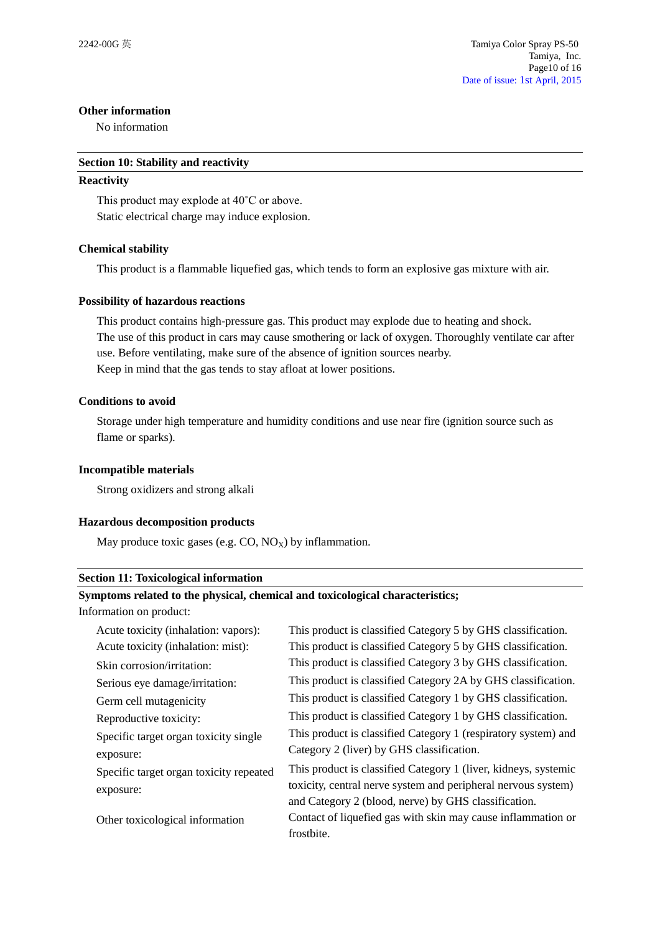### **Other information**

No information

#### **Section 10: Stability and reactivity**

### **Reactivity**

This product may explode at 40˚C or above. Static electrical charge may induce explosion.

## **Chemical stability**

This product is a flammable liquefied gas, which tends to form an explosive gas mixture with air.

### **Possibility of hazardous reactions**

This product contains high-pressure gas. This product may explode due to heating and shock. The use of this product in cars may cause smothering or lack of oxygen. Thoroughly ventilate car after use. Before ventilating, make sure of the absence of ignition sources nearby. Keep in mind that the gas tends to stay afloat at lower positions.

### **Conditions to avoid**

Storage under high temperature and humidity conditions and use near fire (ignition source such as flame or sparks).

### **Incompatible materials**

Strong oxidizers and strong alkali

#### **Hazardous decomposition products**

May produce toxic gases (e.g.  $CO$ ,  $NO<sub>x</sub>$ ) by inflammation.

#### **Section 11: Toxicological information**

### **Symptoms related to the physical, chemical and toxicological characteristics;**

Information on product:

| Acute toxicity (inhalation: vapors):    | This product is classified Category 5 by GHS classification.    |
|-----------------------------------------|-----------------------------------------------------------------|
| Acute toxicity (inhalation: mist):      | This product is classified Category 5 by GHS classification.    |
| Skin corrosion/irritation:              | This product is classified Category 3 by GHS classification.    |
| Serious eye damage/irritation:          | This product is classified Category 2A by GHS classification.   |
| Germ cell mutagenicity                  | This product is classified Category 1 by GHS classification.    |
| Reproductive toxicity:                  | This product is classified Category 1 by GHS classification.    |
| Specific target organ toxicity single   | This product is classified Category 1 (respiratory system) and  |
| exposure:                               | Category 2 (liver) by GHS classification.                       |
| Specific target organ toxicity repeated | This product is classified Category 1 (liver, kidneys, systemic |
| exposure:                               | toxicity, central nerve system and peripheral nervous system)   |
|                                         | and Category 2 (blood, nerve) by GHS classification.            |
| Other toxicological information         | Contact of liquefied gas with skin may cause inflammation or    |
|                                         | frostbite.                                                      |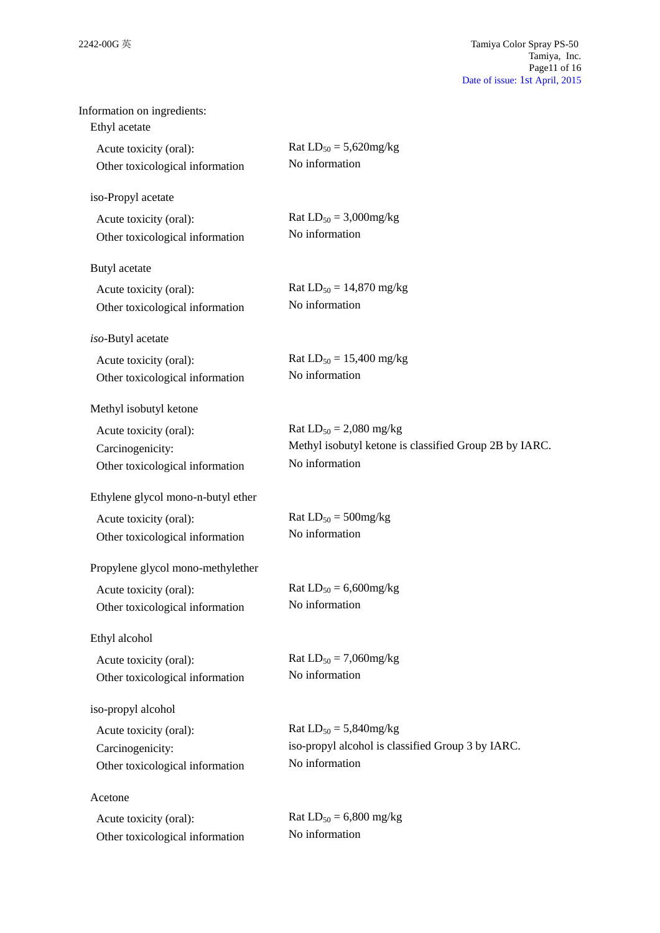| Information on ingredients:<br>Ethyl acetate |                                                        |
|----------------------------------------------|--------------------------------------------------------|
| Acute toxicity (oral):                       | Rat $LD_{50} = 5,620$ mg/kg                            |
| Other toxicological information              | No information                                         |
| iso-Propyl acetate                           |                                                        |
| Acute toxicity (oral):                       | Rat $LD_{50} = 3,000$ mg/kg                            |
| Other toxicological information              | No information                                         |
| Butyl acetate                                |                                                        |
| Acute toxicity (oral):                       | Rat $LD_{50} = 14,870$ mg/kg                           |
| Other toxicological information              | No information                                         |
| iso-Butyl acetate                            |                                                        |
| Acute toxicity (oral):                       | Rat $LD_{50} = 15,400$ mg/kg                           |
| Other toxicological information              | No information                                         |
| Methyl isobutyl ketone                       |                                                        |
| Acute toxicity (oral):                       | Rat $LD_{50} = 2,080$ mg/kg                            |
| Carcinogenicity:                             | Methyl isobutyl ketone is classified Group 2B by IARC. |
| Other toxicological information              | No information                                         |
| Ethylene glycol mono-n-butyl ether           |                                                        |
| Acute toxicity (oral):                       | Rat $LD_{50} = 500$ mg/kg                              |
| Other toxicological information              | No information                                         |
| Propylene glycol mono-methylether            |                                                        |
| Acute toxicity (oral):                       | Rat $LD_{50} = 6,600$ mg/kg                            |
| Other toxicological information              | No information                                         |
| Ethyl alcohol                                |                                                        |
| Acute toxicity (oral):                       | Rat $LD_{50} = 7,060$ mg/kg                            |
| Other toxicological information              | No information                                         |
| iso-propyl alcohol                           |                                                        |
| Acute toxicity (oral):                       | Rat $LD_{50} = 5,840$ mg/kg                            |
| Carcinogenicity:                             | iso-propyl alcohol is classified Group 3 by IARC.      |
| Other toxicological information              | No information                                         |
| Acetone                                      |                                                        |
| Acute toxicity (oral):                       | Rat $LD_{50} = 6,800$ mg/kg                            |
| Other toxicological information              | No information                                         |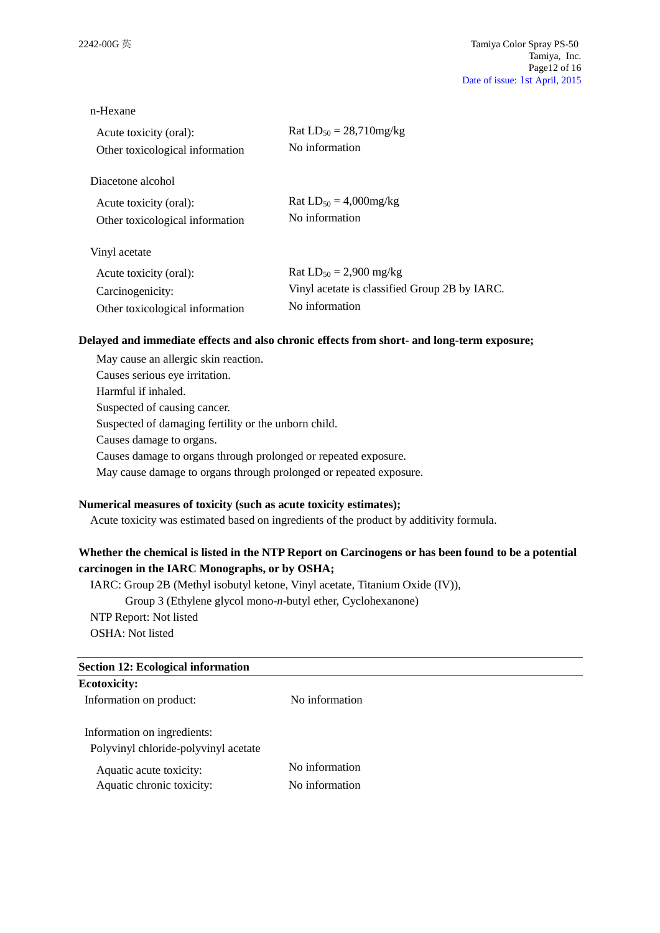#### n-Hexane

| Acute toxicity (oral):          | Rat $LD_{50} = 28,710mg/kg$                   |
|---------------------------------|-----------------------------------------------|
| Other toxicological information | No information                                |
| Diacetone alcohol               |                                               |
| Acute toxicity (oral):          | Rat $LD_{50} = 4,000$ mg/kg                   |
| Other toxicological information | No information                                |
| Vinyl acetate                   |                                               |
| Acute toxicity (oral):          | Rat $LD_{50} = 2,900$ mg/kg                   |
| Carcinogenicity:                | Vinyl acetate is classified Group 2B by IARC. |
| Other toxicological information | No information                                |

### **Delayed and immediate effects and also chronic effects from short- and long-term exposure;**

May cause an allergic skin reaction. Causes serious eye irritation. Harmful if inhaled. Suspected of causing cancer. Suspected of damaging fertility or the unborn child. Causes damage to organs. Causes damage to organs through prolonged or repeated exposure. May cause damage to organs through prolonged or repeated exposure.

## **Numerical measures of toxicity (such as acute toxicity estimates);**

Acute toxicity was estimated based on ingredients of the product by additivity formula.

# **Whether the chemical is listed in the NTP Report on Carcinogens or has been found to be a potential carcinogen in the IARC Monographs, or by OSHA;**

IARC: Group 2B (Methyl isobutyl ketone, Vinyl acetate, Titanium Oxide (IV)), Group 3 (Ethylene glycol mono-*n*-butyl ether, Cyclohexanone) NTP Report: Not listed OSHA: Not listed

| <b>Section 12: Ecological information</b> |                |  |
|-------------------------------------------|----------------|--|
| <b>Ecotoxicity:</b>                       |                |  |
| Information on product:                   | No information |  |
| Information on ingredients:               |                |  |
| Polyvinyl chloride-polyvinyl acetate      |                |  |
| Aquatic acute toxicity:                   | No information |  |
| Aquatic chronic toxicity:                 | No information |  |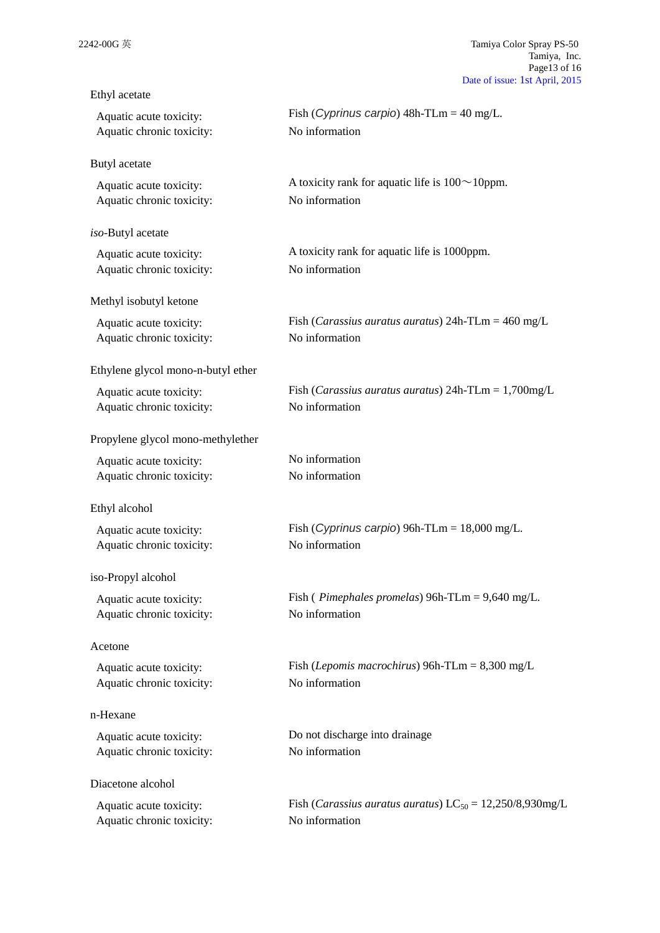| Ethyl acetate                      |                                                                         |
|------------------------------------|-------------------------------------------------------------------------|
| Aquatic acute toxicity:            | Fish (Cyprinus carpio) $48h$ -TLm = $40$ mg/L.                          |
| Aquatic chronic toxicity:          | No information                                                          |
| Butyl acetate                      |                                                                         |
| Aquatic acute toxicity:            | A toxicity rank for aquatic life is $100 \sim 10$ ppm.                  |
| Aquatic chronic toxicity:          | No information                                                          |
| iso-Butyl acetate                  |                                                                         |
| Aquatic acute toxicity:            | A toxicity rank for aquatic life is 1000ppm.                            |
| Aquatic chronic toxicity:          | No information                                                          |
| Methyl isobutyl ketone             |                                                                         |
| Aquatic acute toxicity:            | Fish ( <i>Carassius auratus auratus</i> ) $24h$ -TLm = $460$ mg/L       |
| Aquatic chronic toxicity:          | No information                                                          |
| Ethylene glycol mono-n-butyl ether |                                                                         |
| Aquatic acute toxicity:            | Fish ( <i>Carassius auratus auratus</i> ) $24h$ -TLm = $1,700mg/L$      |
| Aquatic chronic toxicity:          | No information                                                          |
| Propylene glycol mono-methylether  |                                                                         |
| Aquatic acute toxicity:            | No information                                                          |
| Aquatic chronic toxicity:          | No information                                                          |
| Ethyl alcohol                      |                                                                         |
| Aquatic acute toxicity:            | Fish (Cyprinus carpio) 96h-TLm = $18,000$ mg/L.                         |
| Aquatic chronic toxicity:          | No information                                                          |
| iso-Propyl alcohol                 |                                                                         |
| Aquatic acute toxicity:            | Fish ( <i>Pimephales promelas</i> ) 96h-TLm = $9,640$ mg/L.             |
| Aquatic chronic toxicity:          | No information                                                          |
| Acetone                            |                                                                         |
| Aquatic acute toxicity:            | Fish ( <i>Lepomis macrochirus</i> ) 96h-TLm = $8,300$ mg/L              |
| Aquatic chronic toxicity:          | No information                                                          |
| n-Hexane                           |                                                                         |
| Aquatic acute toxicity:            | Do not discharge into drainage                                          |
| Aquatic chronic toxicity:          | No information                                                          |
| Diacetone alcohol                  |                                                                         |
| Aquatic acute toxicity:            | Fish ( <i>Carassius auratus auratus</i> ) $LC_{50} = 12,250/8,930$ mg/L |
| Aquatic chronic toxicity:          | No information                                                          |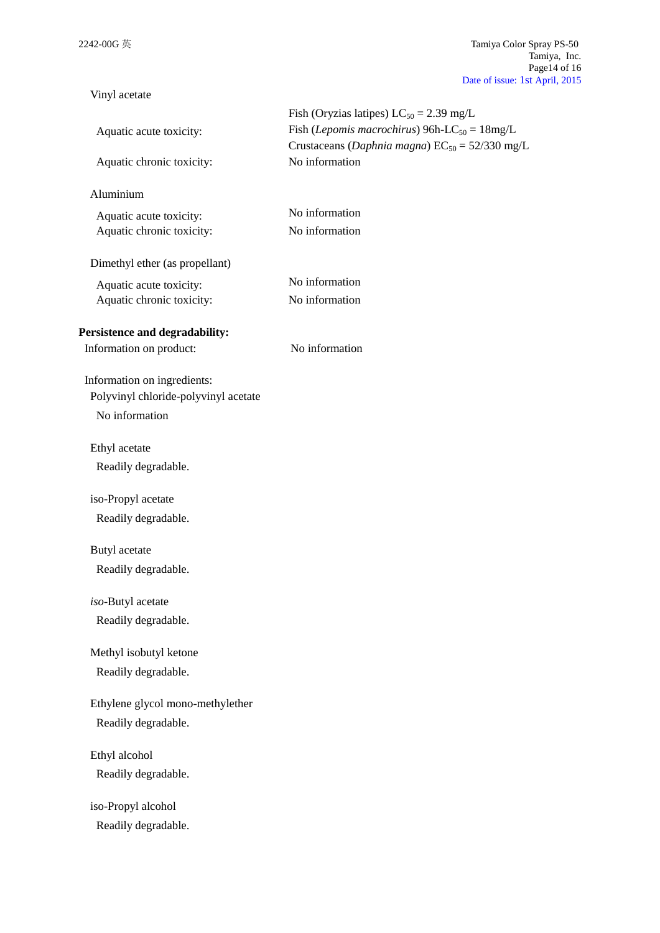| Vinyl acetate                                                                         |                                                                                                                                                                   |
|---------------------------------------------------------------------------------------|-------------------------------------------------------------------------------------------------------------------------------------------------------------------|
| Aquatic acute toxicity:                                                               | Fish (Oryzias latipes) $LC_{50} = 2.39$ mg/L<br>Fish (Lepomis macrochirus) 96h-LC <sub>50</sub> = $18mg/L$<br>Crustaceans (Daphnia magna) $EC_{50} = 52/330$ mg/L |
| Aquatic chronic toxicity:                                                             | No information                                                                                                                                                    |
| Aluminium                                                                             |                                                                                                                                                                   |
| Aquatic acute toxicity:<br>Aquatic chronic toxicity:                                  | No information<br>No information                                                                                                                                  |
| Dimethyl ether (as propellant)                                                        |                                                                                                                                                                   |
| Aquatic acute toxicity:<br>Aquatic chronic toxicity:                                  | No information<br>No information                                                                                                                                  |
| Persistence and degradability:<br>Information on product:                             | No information                                                                                                                                                    |
| Information on ingredients:<br>Polyvinyl chloride-polyvinyl acetate<br>No information |                                                                                                                                                                   |
| Ethyl acetate<br>Readily degradable.                                                  |                                                                                                                                                                   |
| iso-Propyl acetate<br>Readily degradable.                                             |                                                                                                                                                                   |
| Butyl acetate<br>Readily degradable.                                                  |                                                                                                                                                                   |
| iso-Butyl acetate<br>Readily degradable.                                              |                                                                                                                                                                   |
| Methyl isobutyl ketone<br>Readily degradable.                                         |                                                                                                                                                                   |
| Ethylene glycol mono-methylether<br>Readily degradable.                               |                                                                                                                                                                   |
| Ethyl alcohol<br>Readily degradable.                                                  |                                                                                                                                                                   |
| iso-Propyl alcohol<br>Readily degradable.                                             |                                                                                                                                                                   |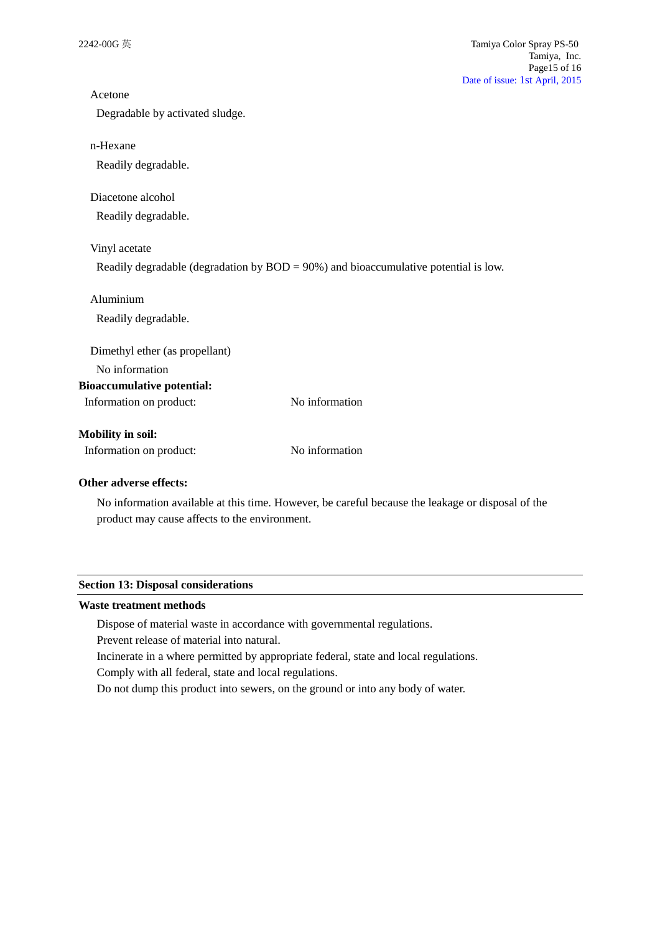| Acetone                           |                                                                                         |
|-----------------------------------|-----------------------------------------------------------------------------------------|
| Degradable by activated sludge.   |                                                                                         |
| n-Hexane                          |                                                                                         |
| Readily degradable.               |                                                                                         |
| Diacetone alcohol                 |                                                                                         |
| Readily degradable.               |                                                                                         |
| Vinyl acetate                     |                                                                                         |
|                                   | Readily degradable (degradation by $BOD = 90\%$ ) and bioaccumulative potential is low. |
| Aluminium                         |                                                                                         |
| Readily degradable.               |                                                                                         |
| Dimethyl ether (as propellant)    |                                                                                         |
| No information                    |                                                                                         |
| <b>Bioaccumulative potential:</b> |                                                                                         |
| Information on product:           | No information                                                                          |
| <b>Mobility in soil:</b>          |                                                                                         |
| Information on product:           | No information                                                                          |
| Other adverse effects:            |                                                                                         |

No information available at this time. However, be careful because the leakage or disposal of the product may cause affects to the environment.

#### **Section 13: Disposal considerations**

### **Waste treatment methods**

Dispose of material waste in accordance with governmental regulations.

Prevent release of material into natural.

Incinerate in a where permitted by appropriate federal, state and local regulations. Comply with all federal, state and local regulations.

Do not dump this product into sewers, on the ground or into any body of water.